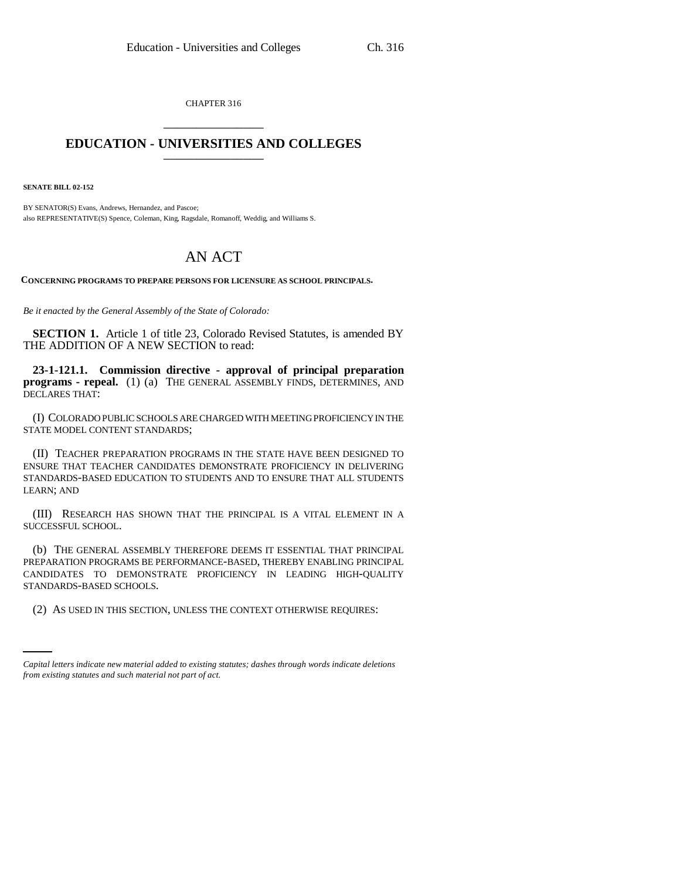CHAPTER 316 \_\_\_\_\_\_\_\_\_\_\_\_\_\_\_

## **EDUCATION - UNIVERSITIES AND COLLEGES** \_\_\_\_\_\_\_\_\_\_\_\_\_\_\_

**SENATE BILL 02-152**

BY SENATOR(S) Evans, Andrews, Hernandez, and Pascoe; also REPRESENTATIVE(S) Spence, Coleman, King, Ragsdale, Romanoff, Weddig, and Williams S.

## AN ACT

**CONCERNING PROGRAMS TO PREPARE PERSONS FOR LICENSURE AS SCHOOL PRINCIPALS.**

*Be it enacted by the General Assembly of the State of Colorado:*

**SECTION 1.** Article 1 of title 23, Colorado Revised Statutes, is amended BY THE ADDITION OF A NEW SECTION to read:

**23-1-121.1. Commission directive - approval of principal preparation programs - repeal.** (1) (a) THE GENERAL ASSEMBLY FINDS, DETERMINES, AND DECLARES THAT:

(I) COLORADO PUBLIC SCHOOLS ARE CHARGED WITH MEETING PROFICIENCY IN THE STATE MODEL CONTENT STANDARDS;

(II) TEACHER PREPARATION PROGRAMS IN THE STATE HAVE BEEN DESIGNED TO ENSURE THAT TEACHER CANDIDATES DEMONSTRATE PROFICIENCY IN DELIVERING STANDARDS-BASED EDUCATION TO STUDENTS AND TO ENSURE THAT ALL STUDENTS LEARN; AND

(III) RESEARCH HAS SHOWN THAT THE PRINCIPAL IS A VITAL ELEMENT IN A SUCCESSFUL SCHOOL.

STANDARDS-BASED SCHOOLS. (b) THE GENERAL ASSEMBLY THEREFORE DEEMS IT ESSENTIAL THAT PRINCIPAL PREPARATION PROGRAMS BE PERFORMANCE-BASED, THEREBY ENABLING PRINCIPAL CANDIDATES TO DEMONSTRATE PROFICIENCY IN LEADING HIGH-QUALITY

(2) AS USED IN THIS SECTION, UNLESS THE CONTEXT OTHERWISE REQUIRES:

*Capital letters indicate new material added to existing statutes; dashes through words indicate deletions from existing statutes and such material not part of act.*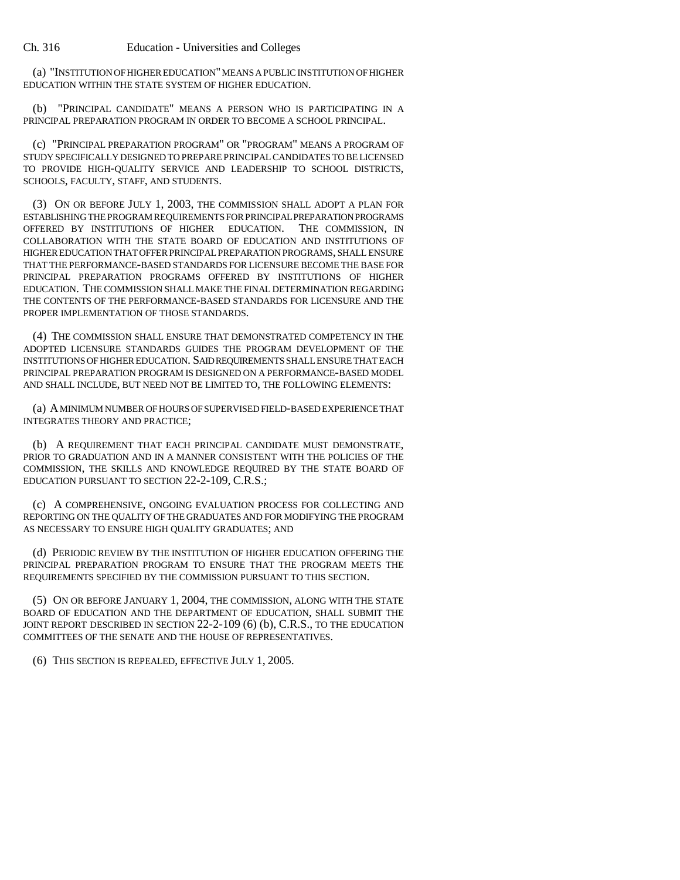(a) "INSTITUTION OF HIGHER EDUCATION" MEANS A PUBLIC INSTITUTION OF HIGHER EDUCATION WITHIN THE STATE SYSTEM OF HIGHER EDUCATION.

(b) "PRINCIPAL CANDIDATE" MEANS A PERSON WHO IS PARTICIPATING IN A PRINCIPAL PREPARATION PROGRAM IN ORDER TO BECOME A SCHOOL PRINCIPAL.

(c) "PRINCIPAL PREPARATION PROGRAM" OR "PROGRAM" MEANS A PROGRAM OF STUDY SPECIFICALLY DESIGNED TO PREPARE PRINCIPAL CANDIDATES TO BE LICENSED TO PROVIDE HIGH-QUALITY SERVICE AND LEADERSHIP TO SCHOOL DISTRICTS, SCHOOLS, FACULTY, STAFF, AND STUDENTS.

(3) ON OR BEFORE JULY 1, 2003, THE COMMISSION SHALL ADOPT A PLAN FOR ESTABLISHING THE PROGRAM REQUIREMENTS FOR PRINCIPAL PREPARATION PROGRAMS OFFERED BY INSTITUTIONS OF HIGHER EDUCATION. THE COMMISSION, IN COLLABORATION WITH THE STATE BOARD OF EDUCATION AND INSTITUTIONS OF HIGHER EDUCATION THAT OFFER PRINCIPAL PREPARATION PROGRAMS, SHALL ENSURE THAT THE PERFORMANCE-BASED STANDARDS FOR LICENSURE BECOME THE BASE FOR PRINCIPAL PREPARATION PROGRAMS OFFERED BY INSTITUTIONS OF HIGHER EDUCATION. THE COMMISSION SHALL MAKE THE FINAL DETERMINATION REGARDING THE CONTENTS OF THE PERFORMANCE-BASED STANDARDS FOR LICENSURE AND THE PROPER IMPLEMENTATION OF THOSE STANDARDS.

(4) THE COMMISSION SHALL ENSURE THAT DEMONSTRATED COMPETENCY IN THE ADOPTED LICENSURE STANDARDS GUIDES THE PROGRAM DEVELOPMENT OF THE INSTITUTIONS OF HIGHER EDUCATION. SAID REQUIREMENTS SHALL ENSURE THAT EACH PRINCIPAL PREPARATION PROGRAM IS DESIGNED ON A PERFORMANCE-BASED MODEL AND SHALL INCLUDE, BUT NEED NOT BE LIMITED TO, THE FOLLOWING ELEMENTS:

(a) A MINIMUM NUMBER OF HOURS OF SUPERVISED FIELD-BASED EXPERIENCE THAT INTEGRATES THEORY AND PRACTICE;

(b) A REQUIREMENT THAT EACH PRINCIPAL CANDIDATE MUST DEMONSTRATE, PRIOR TO GRADUATION AND IN A MANNER CONSISTENT WITH THE POLICIES OF THE COMMISSION, THE SKILLS AND KNOWLEDGE REQUIRED BY THE STATE BOARD OF EDUCATION PURSUANT TO SECTION 22-2-109, C.R.S.;

(c) A COMPREHENSIVE, ONGOING EVALUATION PROCESS FOR COLLECTING AND REPORTING ON THE QUALITY OF THE GRADUATES AND FOR MODIFYING THE PROGRAM AS NECESSARY TO ENSURE HIGH QUALITY GRADUATES; AND

(d) PERIODIC REVIEW BY THE INSTITUTION OF HIGHER EDUCATION OFFERING THE PRINCIPAL PREPARATION PROGRAM TO ENSURE THAT THE PROGRAM MEETS THE REQUIREMENTS SPECIFIED BY THE COMMISSION PURSUANT TO THIS SECTION.

(5) ON OR BEFORE JANUARY 1, 2004, THE COMMISSION, ALONG WITH THE STATE BOARD OF EDUCATION AND THE DEPARTMENT OF EDUCATION, SHALL SUBMIT THE JOINT REPORT DESCRIBED IN SECTION 22-2-109 (6) (b), C.R.S., TO THE EDUCATION COMMITTEES OF THE SENATE AND THE HOUSE OF REPRESENTATIVES.

(6) THIS SECTION IS REPEALED, EFFECTIVE JULY 1, 2005.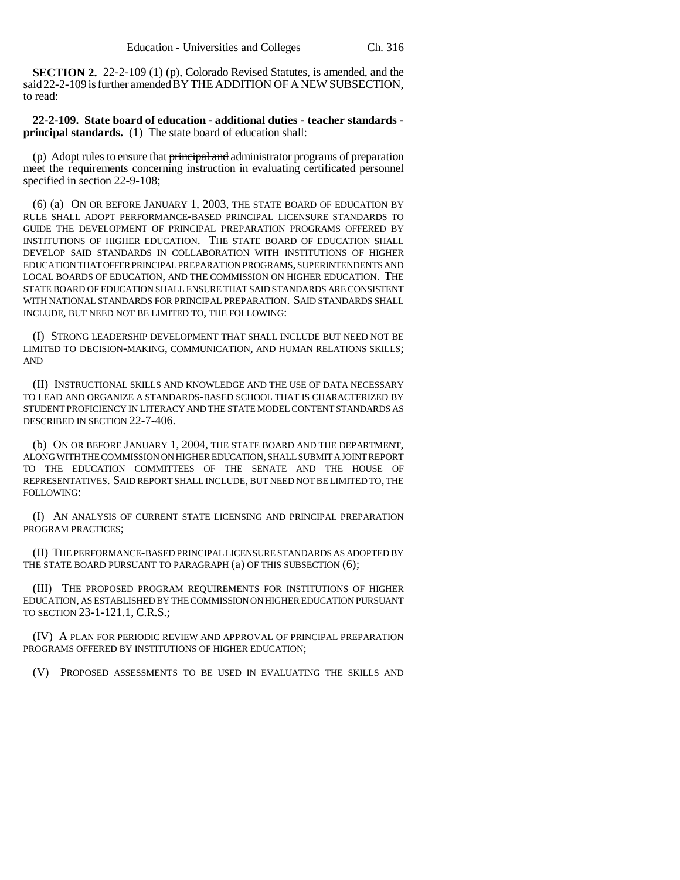**SECTION 2.** 22-2-109 (1) (p), Colorado Revised Statutes, is amended, and the said 22-2-109 is further amended BY THE ADDITION OF A NEW SUBSECTION, to read:

**22-2-109. State board of education - additional duties - teacher standards principal standards.** (1) The state board of education shall:

(p) Adopt rules to ensure that principal and administrator programs of preparation meet the requirements concerning instruction in evaluating certificated personnel specified in section 22-9-108;

(6) (a) ON OR BEFORE JANUARY 1, 2003, THE STATE BOARD OF EDUCATION BY RULE SHALL ADOPT PERFORMANCE-BASED PRINCIPAL LICENSURE STANDARDS TO GUIDE THE DEVELOPMENT OF PRINCIPAL PREPARATION PROGRAMS OFFERED BY INSTITUTIONS OF HIGHER EDUCATION. THE STATE BOARD OF EDUCATION SHALL DEVELOP SAID STANDARDS IN COLLABORATION WITH INSTITUTIONS OF HIGHER EDUCATION THAT OFFER PRINCIPAL PREPARATION PROGRAMS, SUPERINTENDENTS AND LOCAL BOARDS OF EDUCATION, AND THE COMMISSION ON HIGHER EDUCATION. THE STATE BOARD OF EDUCATION SHALL ENSURE THAT SAID STANDARDS ARE CONSISTENT WITH NATIONAL STANDARDS FOR PRINCIPAL PREPARATION. SAID STANDARDS SHALL INCLUDE, BUT NEED NOT BE LIMITED TO, THE FOLLOWING:

(I) STRONG LEADERSHIP DEVELOPMENT THAT SHALL INCLUDE BUT NEED NOT BE LIMITED TO DECISION-MAKING, COMMUNICATION, AND HUMAN RELATIONS SKILLS; AND

(II) INSTRUCTIONAL SKILLS AND KNOWLEDGE AND THE USE OF DATA NECESSARY TO LEAD AND ORGANIZE A STANDARDS-BASED SCHOOL THAT IS CHARACTERIZED BY STUDENT PROFICIENCY IN LITERACY AND THE STATE MODEL CONTENT STANDARDS AS DESCRIBED IN SECTION 22-7-406.

(b) ON OR BEFORE JANUARY 1, 2004, THE STATE BOARD AND THE DEPARTMENT, ALONG WITH THE COMMISSION ON HIGHER EDUCATION, SHALL SUBMIT A JOINT REPORT TO THE EDUCATION COMMITTEES OF THE SENATE AND THE HOUSE OF REPRESENTATIVES. SAID REPORT SHALL INCLUDE, BUT NEED NOT BE LIMITED TO, THE FOLLOWING:

(I) AN ANALYSIS OF CURRENT STATE LICENSING AND PRINCIPAL PREPARATION PROGRAM PRACTICES;

(II) THE PERFORMANCE-BASED PRINCIPAL LICENSURE STANDARDS AS ADOPTED BY THE STATE BOARD PURSUANT TO PARAGRAPH (a) OF THIS SUBSECTION (6);

(III) THE PROPOSED PROGRAM REQUIREMENTS FOR INSTITUTIONS OF HIGHER EDUCATION, AS ESTABLISHED BY THE COMMISSION ON HIGHER EDUCATION PURSUANT TO SECTION 23-1-121.1, C.R.S.;

(IV) A PLAN FOR PERIODIC REVIEW AND APPROVAL OF PRINCIPAL PREPARATION PROGRAMS OFFERED BY INSTITUTIONS OF HIGHER EDUCATION;

(V) PROPOSED ASSESSMENTS TO BE USED IN EVALUATING THE SKILLS AND